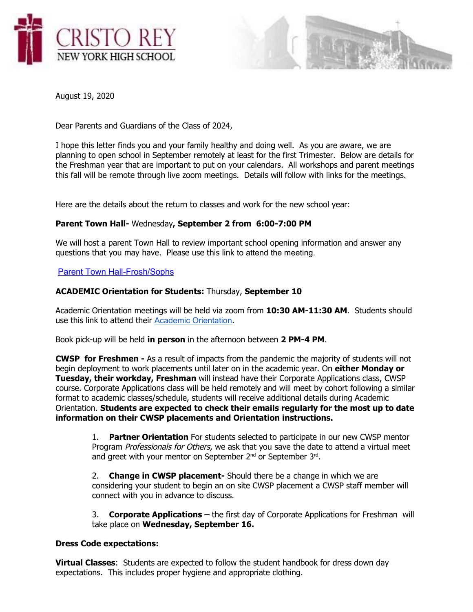



August 19, 2020

Dear Parents and Guardians of the Class of 2024,

I hope this letter finds you and your family healthy and doing well. As you are aware, we are planning to open school in September remotely at least for the first Trimester. Below are details for the Freshman year that are important to put on your calendars. All workshops and parent meetings this fall will be remote through live zoom meetings. Details will follow with links for the meetings.

Here are the details about the return to classes and work for the new school year:

## **Parent Town Hall-** Wednesday**, September 2 from 6:00-7:00 PM**

We will host a parent Town Hall to review important school opening information and answer any questions that you may have. Please use this link to attend the meeting.

## Parent Town [Hall-Frosh/Sophs](https://cristoreyny.zoom.us/j/88655106861)

# **ACADEMIC Orientation for Students:** Thursday, **September 10**

Academic Orientation meetings will be held via zoom from **10:30 AM-11:30 AM**. Students should use this link to attend their [Academic Orientation](https://cristoreyny.zoom.us/j/2606358330?pwd=eXB5Slorb3g4NGVwUmhpbWcxQUk2dz09).

Book pick-up will be held **in person** in the afternoon between **2 PM-4 PM**.

**CWSP for Freshmen -** As a result of impacts from the pandemic the majority of students will not begin deployment to work placements until later on in the academic year. On **either Monday or Tuesday, their workday, Freshman** will instead have their Corporate Applications class, CWSP course. Corporate Applications class will be held remotely and will meet by cohort following a similar format to academic classes/schedule, students will receive additional details during Academic Orientation. **Students are expected to check their emails regularly for the most up to date information on their CWSP placements and Orientation instructions.**

1. **Partner Orientation** For students selected to participate in our new CWSP mentor Program Professionals for Others, we ask that you save the date to attend a virtual meet and greet with your mentor on September 2<sup>nd</sup> or September 3<sup>rd</sup>.

2. **Change in CWSP placement-** Should there be a change in which we are considering your student to begin an on site CWSP placement a CWSP staff member will connect with you in advance to discuss.

3. **Corporate Applications –** the first day of Corporate Applications for Freshman will take place on **Wednesday, September 16.**

## **Dress Code expectations:**

**Virtual Classes**: Students are expected to follow the student handbook for dress down day expectations. This includes proper hygiene and appropriate clothing.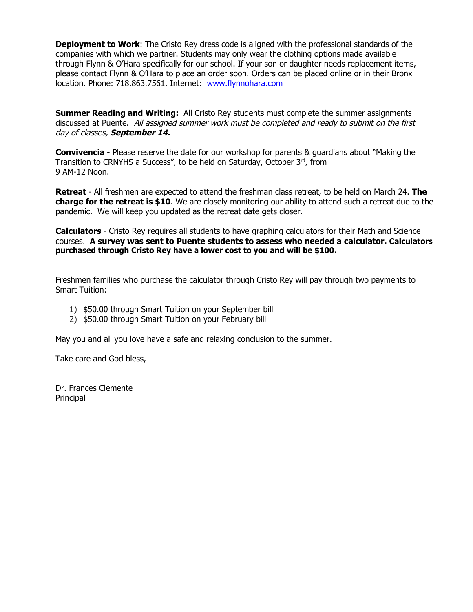**Deployment to Work**: The Cristo Rey dress code is aligned with the professional standards of the companies with which we partner. Students may only wear the clothing options made available through Flynn & O'Hara specifically for our school. If your son or daughter needs replacement items, please contact Flynn & O'Hara to place an order soon. Orders can be placed online or in their Bronx location. Phone: 718.863.7561. Internet: [www.flynnohara.com](http://www.flynnohara.com/)

**Summer Reading and Writing:** All Cristo Rey students must complete the summer assignments discussed at Puente. All assigned summer work must be completed and ready to submit on the first day of classes, **September 14.**

**Convivencia** - Please reserve the date for our workshop for parents & guardians about "Making the Transition to CRNYHS a Success", to be held on Saturday, October 3<sup>rd</sup>, from 9 AM-12 Noon.

**Retreat** - All freshmen are expected to attend the freshman class retreat, to be held on March 24. **The charge for the retreat is \$10**. We are closely monitoring our ability to attend such a retreat due to the pandemic. We will keep you updated as the retreat date gets closer.

**Calculators** - Cristo Rey requires all students to have graphing calculators for their Math and Science courses. **A survey was sent to Puente students to assess who needed a calculator. Calculators purchased through Cristo Rey have a lower cost to you and will be \$100.**

Freshmen families who purchase the calculator through Cristo Rey will pay through two payments to Smart Tuition:

- 1) \$50.00 through Smart Tuition on your September bill
- 2) \$50.00 through Smart Tuition on your February bill

May you and all you love have a safe and relaxing conclusion to the summer.

Take care and God bless,

Dr. Frances Clemente Principal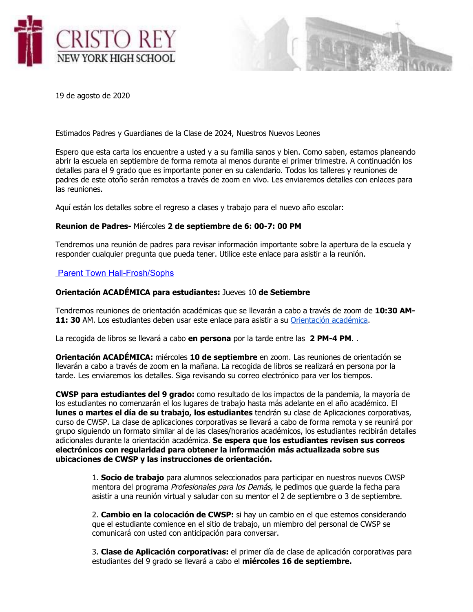



19 de agosto de 2020

Estimados Padres y Guardianes de la Clase de 2024, Nuestros Nuevos Leones

Espero que esta carta los encuentre a usted y a su familia sanos y bien. Como saben, estamos planeando abrir la escuela en septiembre de forma remota al menos durante el primer trimestre. A continuación los detalles para el 9 grado que es importante poner en su calendario. Todos los talleres y reuniones de padres de este otoño serán remotos a través de zoom en vivo. Les enviaremos detalles con enlaces para las reuniones.

Aquí están los detalles sobre el regreso a clases y trabajo para el nuevo año escolar:

### **Reunion de Padres-** Miércoles **2 de septiembre de 6: 00-7: 00 PM**

Tendremos una reunión de padres para revisar información importante sobre la apertura de la escuela y responder cualquier pregunta que pueda tener. Utilice este enlace para asistir a la reunión.

# Parent Town [Hall-Frosh/Sophs](https://cristoreyny.zoom.us/j/88655106861)

### **Orientación ACADÉMICA para estudiantes:** Jueves 10 **de Setiembre**

Tendremos reuniones de orientación académicas que se llevarán a cabo a través de zoom de **10:30 AM-11: 30** AM. Los estudiantes deben usar este enlace para asistir a su [Orientación](https://cristoreyny.zoom.us/j/2606358330?pwd=eXB5Slorb3g4NGVwUmhpbWcxQUk2dz09) académica.

La recogida de libros se llevará a cabo **en persona** por la tarde entre las **2 PM-4 PM**. .

**Orientación ACADÉMICA:** miércoles **10 de septiembre** en zoom. Las reuniones de orientación se llevarán a cabo a través de zoom en la mañana. La recogida de libros se realizará en persona por la tarde. Les enviaremos los detalles. Siga revisando su correo electrónico para ver los tiempos.

**CWSP para estudiantes del 9 grado:** como resultado de los impactos de la pandemia, la mayoría de los estudiantes no comenzarán el los lugares de trabajo hasta más adelante en el año académico. El **lunes o martes el día de su trabajo, los estudiantes** tendrán su clase de Aplicaciones corporativas, curso de CWSP. La clase de aplicaciones corporativas se llevará a cabo de forma remota y se reunirá por grupo siguiendo un formato similar al de las clases/horarios académicos, los estudiantes recibirán detalles adicionales durante la orientación académica. **Se espera que los estudiantes revisen sus correos electrónicos con regularidad para obtener la información más actualizada sobre sus ubicaciones de CWSP y las instrucciones de orientación.**

> 1. **Socio de trabajo** para alumnos seleccionados para participar en nuestros nuevos CWSP mentora del programa Profesionales para los Demás, le pedimos que guarde la fecha para asistir a una reunión virtual y saludar con su mentor el 2 de septiembre o 3 de septiembre.

> 2. **Cambio en la colocación de CWSP:** si hay un cambio en el que estemos considerando que el estudiante comience en el sitio de trabajo, un miembro del personal de CWSP se comunicará con usted con anticipación para conversar.

3. **Clase de Aplicación corporativas:** el primer día de clase de aplicación corporativas para estudiantes del 9 grado se llevará a cabo el **miércoles 16 de septiembre.**